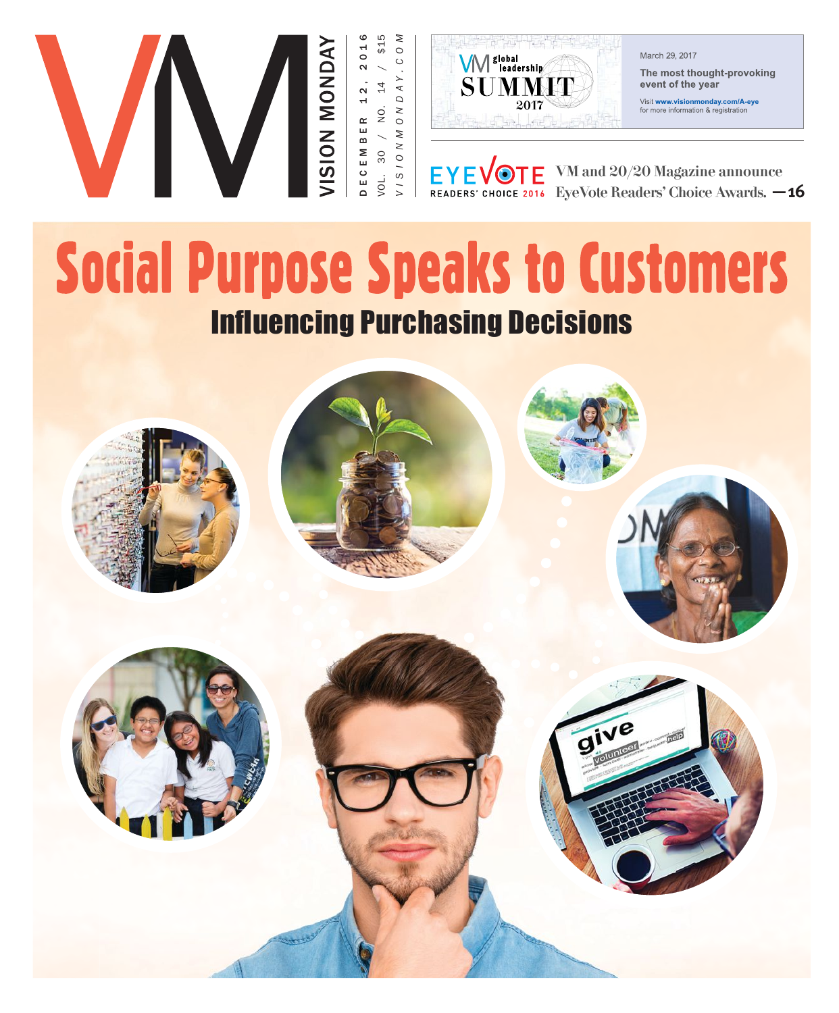



March 29, 2017

The most thought-provoking event of the year

Visit www.visionmonday.com/A-eye for more information & registration

EYEVOTE VM and 20/20 Magazine announce<br>READERS' CHOICE 2016 EyeVote Readers' Choice Awards. -16

# **Social Purpose Speaks to Customers Influencing Purchasing Decisions**